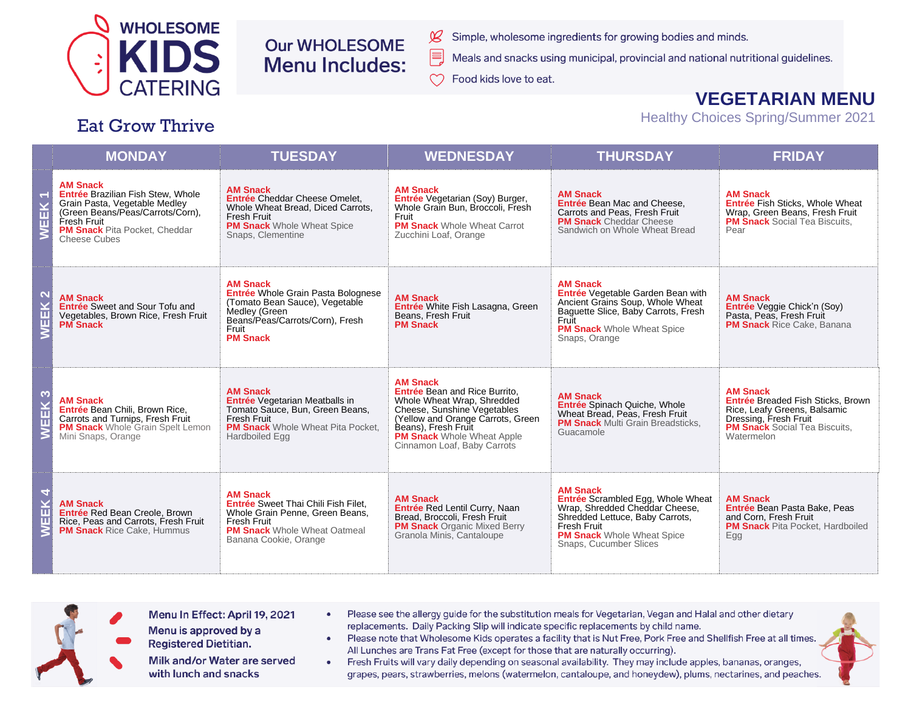

**Eat Grow Thrive** 

## **Our WHOLESOME Menu Includes:**

- Simple, wholesome ingredients for growing bodies and minds.
- Meals and snacks using municipal, provincial and national nutritional guidelines.
- Food kids love to eat.

 $\chi$ 

## **VEGETARIAN MENU**

**Healthy Choices Spring/Summer 2021** 

## **THURSDAY MONDAY TUESDAY WEDNESDAY FRIDAY AM Snack AM Snack AM Snack** Entrée Brazilian Fish Stew, Whole **AM Snack AM Snack** EK<sub>1</sub> Entrée Cheddar Cheese Omelet. Entrée Vegetarian (Soy) Burger, Grain Pasta, Vegetable Medley Entrée Bean Mac and Cheese, Entrée Fish Sticks, Whole Wheat Whole Wheat Bread, Diced Carrots. Whole Grain Bun, Broccoli, Fresh (Green Beans/Peas/Carrots/Corn). Carrots and Peas. Fresh Fruit Wrap, Green Beans, Fresh Fruit **Fresh Fruit** Fruit **PM Snack** Social Tea Biscuits, Fresh Fruit **PM Snack** Cheddar Cheese 回 **PM Snack** Whole Wheat Spice **PM Snack Whole Wheat Carrot PM Snack** Pita Pocket, Cheddar Sandwich on Whole Wheat Bread Pear ⋧ Snaps, Clementine Zucchini Loaf. Orange Cheese Cubes **AM Snack AM Snack** Entrée Whole Grain Pasta Bolognese Entrée Vegetable Garden Bean with EK<sub>2</sub> **AM Snack AM Snack AM Snack** Ancient Grains Soup, Whole Wheat (Tomato Bean Sauce), Vegetable Entrée White Fish Lasagna, Green Entrée Sweet and Sour Tofu and Entrée Veggie Chick'n (Soy) Baquette Slice, Baby Carrots, Fresh Medley (Green Pasta, Peas, Fresh Fruit Vegetables, Brown Rice, Fresh Fruit Beans. Fresh Fruit Beans/Peas/Carrots/Corn), Fresh Fruit 冚 **PM Snack PM Snack PM Snack** Rice Cake, Banana **PM Snack** Whole Wheat Spice Fruit **PM Snack** Snaps, Orange **AM Snack** Entrée Bean and Rice Burrito, **AM Snack AM Snack AM Snack** EEK<sub>3</sub> **AM Snack** Entrée Vegetarian Meatballs in Whole Wheat Wrap, Shredded **Entrée Breaded Fish Sticks, Brown** Entrée Spinach Quiche, Whole Entrée Bean Chili, Brown Rice, Cheese, Sunshine Vegetables Rice, Leafy Greens, Balsamic Tomato Sauce, Bun, Green Beans, Wheat Bread, Peas, Fresh Fruit Dressing, Fresh Fruit Carrots and Turnips, Fresh Fruit **Fresh Fruit** (Yellow and Orange Carrots, Green **PM Snack Multi Grain Breadsticks. PM Snack** Whole Wheat Pita Pocket. Beans), Fresh Fruit **PM Snack** Social Tea Biscuits. **PM Snack** Whole Grain Spelt Lemon Σ Guacamole Mini Snaps, Orange **Hardboiled Egg PM Snack** Whole Wheat Apple Watermelon Cinnamon Loaf, Baby Carrots **AM Snack** EEK 4 **AM Snack** Entrée Scrambled Egg, Whole Wheat **AM Snack AM Snack** Entrée Sweet Thai Chili Fish Filet. **AM Snack** Entrée Red Lentil Curry, Naan Wrap, Shredded Cheddar Cheese, Entrée Bean Pasta Bake, Peas Entrée Red Bean Creole, Brown Whole Grain Penne, Green Beans, Bread, Broccoli, Fresh Fruit Shredded Lettuce, Baby Carrots. and Corn, Fresh Fruit Rice, Peas and Carrots, Fresh Fruit **Fresh Fruit PM Snack Organic Mixed Berry** Fresh Fruit **PM Snack** Pita Pocket. Hardboiled ξ **PM Snack** Whole Wheat Oatmeal **PM Snack** Rice Cake, Hummus Granola Minis, Cantaloupe **PM Snack** Whole Wheat Spice Egg Banana Cookie, Orange Snaps, Cucumber Slices



- Menu In Effect: April 19, 2021
- Menu is approved by a **Registered Dietitian.**

Milk and/or Water are served with lunch and snacks

- Please see the allergy quide for the substitution meals for Vegetarian, Vegan and Halal and other dietary replacements. Daily Packing Slip will indicate specific replacements by child name.
- Please note that Wholesome Kids operates a facility that is Nut Free, Pork Free and Shellfish Free at all times. All Lunches are Trans Fat Free (except for those that are naturally occurring).

• Fresh Fruits will vary daily depending on seasonal availability. They may include apples, bananas, oranges, grapes, pears, strawberries, melons (watermelon, cantaloupe, and honeydew), plums, nectarines, and peaches.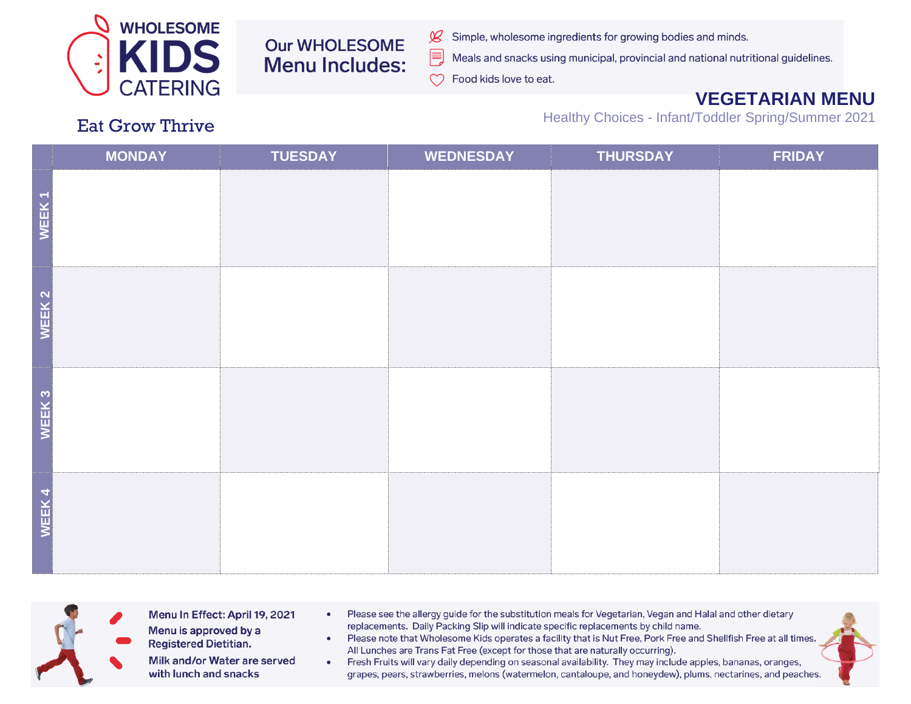

**Our WHOLESOME Menu Includes:** 

- Simple, wholesome ingredients for growing bodies and minds.  $\cancel{\mathcal{L}}$ 
	- Meals and snacks using municipal, provincial and national nutritional guidelines.

 $\infty$ Food kids love to eat.

E

## **VEGETARIAN MENU**

Healthy Choices - Infant/Toddler Spring/Summer 2021

|                   | <b>MONDAY</b> | <b>TUESDAY</b> | <b>WEDNESDAY</b> | <b>THURSDAY</b> | <b>FRIDAY</b> |
|-------------------|---------------|----------------|------------------|-----------------|---------------|
| WEEK1             |               |                |                  |                 |               |
| WEEK <sub>2</sub> |               |                |                  |                 |               |
| WEEK <sub>3</sub> |               |                |                  |                 |               |
| WEEK4             |               |                |                  |                 |               |



- Menu In Effect: April 19, 2021 Menu is approved by a
- Please see the allergy guide for the substitution meals for Vegetarian, Vegan and Halal and other dietary  $\bullet$ replacements. Daily Packing Slip will indicate specific replacements by child name. Please note that Wholesome Kids operates a facility that is Nut Free, Pork Free and Shellfish Free at all times.  $\bullet$
- **Registered Dietitian.** Milk and/or Water are served with lunch and snacks
	- All Lunches are Trans Fat Free (except for those that are naturally occurring). • Fresh Fruits will vary daily depending on seasonal availability. They may include apples, bananas, oranges, grapes, pears, strawberries, melons (watermelon, cantaloupe, and honeydew), plums, nectarines, and peaches.